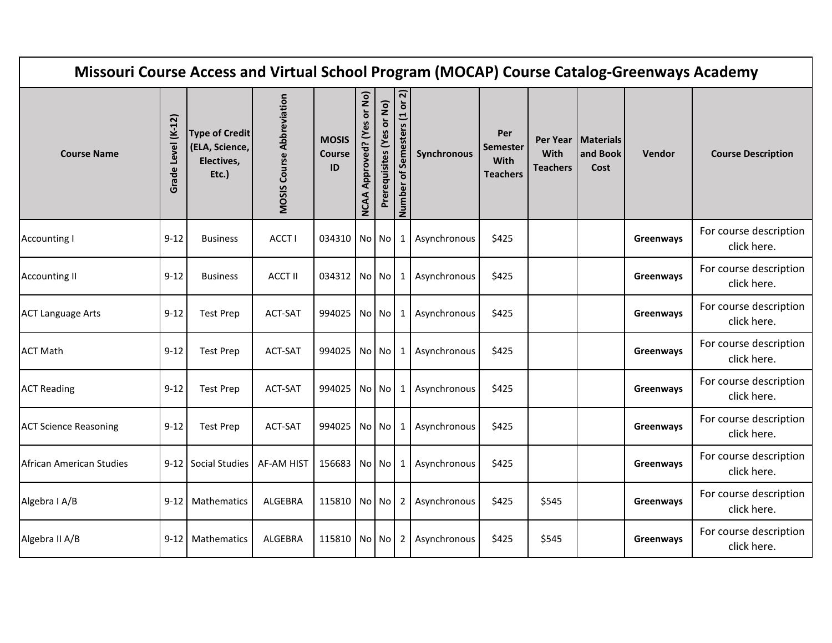| Missouri Course Access and Virtual School Program (MOCAP) Course Catalog-Greenways Academy |                       |                                                                |                                  |                                     |                                         |                           |                                                         |              |                                                   |                         |                                          |           |                                       |
|--------------------------------------------------------------------------------------------|-----------------------|----------------------------------------------------------------|----------------------------------|-------------------------------------|-----------------------------------------|---------------------------|---------------------------------------------------------|--------------|---------------------------------------------------|-------------------------|------------------------------------------|-----------|---------------------------------------|
| <b>Course Name</b>                                                                         | Level (K-12)<br>Grade | <b>Type of Credit</b><br>(ELA, Science,<br>Electives,<br>Etc.) | <b>MOSIS Course Abbreviation</b> | <b>MOSIS</b><br><b>Course</b><br>ID | or No)<br>Approved? (Yes<br><b>NCAA</b> | Prerequisites (Yes or No) | $\overline{\mathsf{N}}$<br>of Semesters (1 or<br>Number | Synchronous  | Per<br><b>Semester</b><br>With<br><b>Teachers</b> | With<br><b>Teachers</b> | Per Year   Materials<br>and Book<br>Cost | Vendor    | <b>Course Description</b>             |
| <b>Accounting I</b>                                                                        | $9 - 12$              | <b>Business</b>                                                | ACCT I                           | 034310 No No                        |                                         |                           | 1                                                       | Asynchronous | \$425                                             |                         |                                          | Greenways | For course description<br>click here. |
| <b>Accounting II</b>                                                                       | $9 - 12$              | <b>Business</b>                                                | <b>ACCT II</b>                   | 034312 No No                        |                                         |                           | $\mathbf{1}$                                            | Asynchronous | \$425                                             |                         |                                          | Greenways | For course description<br>click here. |
| <b>ACT Language Arts</b>                                                                   | $9 - 12$              | <b>Test Prep</b>                                               | <b>ACT-SAT</b>                   | 994025                              | No No                                   |                           | $1\vert$                                                | Asynchronous | \$425                                             |                         |                                          | Greenways | For course description<br>click here. |
| <b>ACT Math</b>                                                                            | $9 - 12$              | <b>Test Prep</b>                                               | <b>ACT-SAT</b>                   | 994025 No No                        |                                         |                           | 1                                                       | Asynchronous | \$425                                             |                         |                                          | Greenways | For course description<br>click here. |
| <b>ACT Reading</b>                                                                         | $9 - 12$              | <b>Test Prep</b>                                               | <b>ACT-SAT</b>                   | 994025 No No                        |                                         |                           | 1                                                       | Asynchronous | \$425                                             |                         |                                          | Greenways | For course description<br>click here. |
| <b>ACT Science Reasoning</b>                                                               | $9 - 12$              | <b>Test Prep</b>                                               | ACT-SAT                          | 994025 No No                        |                                         |                           | $\mathbf{1}$                                            | Asynchronous | \$425                                             |                         |                                          | Greenways | For course description<br>click here. |
| African American Studies                                                                   |                       | 9-12 Social Studies                                            | AF-AM HIST                       | 156683 No No                        |                                         |                           | $\mathbf{1}$                                            | Asynchronous | \$425                                             |                         |                                          | Greenways | For course description<br>click here. |
| Algebra I A/B                                                                              | 9-12                  | Mathematics                                                    | <b>ALGEBRA</b>                   | 115810   No   No                    |                                         |                           | $2 \mid$                                                | Asynchronous | \$425                                             | \$545                   |                                          | Greenways | For course description<br>click here. |
| Algebra II A/B                                                                             | $9 - 12$              | Mathematics                                                    | ALGEBRA                          | 115810 No No                        |                                         |                           | 2                                                       | Asynchronous | \$425                                             | \$545                   |                                          | Greenways | For course description<br>click here. |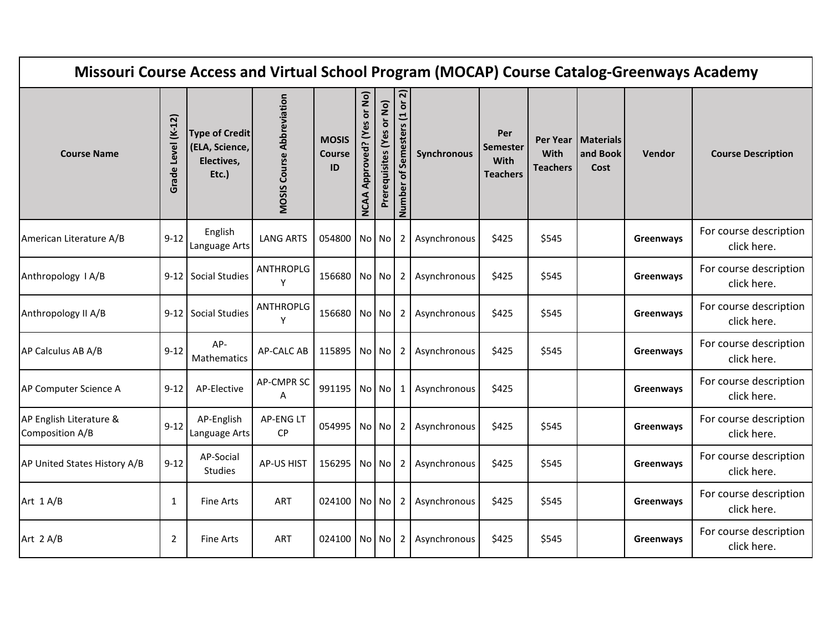| Missouri Course Access and Virtual School Program (MOCAP) Course Catalog-Greenways Academy |                       |                                                                |                                  |                                     |                                             |                           |                                                           |              |                                                   |                         |                                          |           |                                       |
|--------------------------------------------------------------------------------------------|-----------------------|----------------------------------------------------------------|----------------------------------|-------------------------------------|---------------------------------------------|---------------------------|-----------------------------------------------------------|--------------|---------------------------------------------------|-------------------------|------------------------------------------|-----------|---------------------------------------|
| <b>Course Name</b>                                                                         | Level (K-12)<br>Grade | <b>Type of Credit</b><br>(ELA, Science,<br>Electives,<br>Etc.) | <b>MOSIS Course Abbreviation</b> | <b>MOSIS</b><br><b>Course</b><br>ID | or No)<br>es<br>Approved? (Y<br><b>NCAA</b> | Prerequisites (Yes or No) | ন $\overline{\mathsf{a}}$<br>of Semesters (1 or<br>Number | Synchronous  | Per<br><b>Semester</b><br>With<br><b>Teachers</b> | With<br><b>Teachers</b> | Per Year   Materials<br>and Book<br>Cost | Vendor    | <b>Course Description</b>             |
| American Literature A/B                                                                    | $9-12$                | English<br>Language Arts                                       | <b>LANG ARTS</b>                 | 054800 No No                        |                                             |                           | $2^{\circ}$                                               | Asynchronous | \$425                                             | \$545                   |                                          | Greenways | For course description<br>click here. |
| Anthropology I A/B                                                                         |                       | 9-12 Social Studies                                            | ANTHROPLG<br>Y                   | 156680 No No                        |                                             |                           | 2                                                         | Asynchronous | \$425                                             | \$545                   |                                          | Greenways | For course description<br>click here. |
| Anthropology II A/B                                                                        |                       | 9-12 Social Studies                                            | ANTHROPLG<br>Υ                   | 156680 No No                        |                                             |                           | $\mathbf{2}$                                              | Asynchronous | \$425                                             | \$545                   |                                          | Greenways | For course description<br>click here. |
| AP Calculus AB A/B                                                                         | $9 - 12$              | AP-<br>Mathematics                                             | <b>AP-CALC AB</b>                | 115895 No No                        |                                             |                           | $\mathbf{2}$                                              | Asynchronous | \$425                                             | \$545                   |                                          | Greenways | For course description<br>click here. |
| AP Computer Science A                                                                      | $9 - 12$              | AP-Elective                                                    | AP-CMPR SC<br>A                  | 991195 No No                        |                                             |                           | 1                                                         | Asynchronous | \$425                                             |                         |                                          | Greenways | For course description<br>click here. |
| AP English Literature &<br>Composition A/B                                                 | $9-12$                | AP-English<br>Language Arts                                    | AP-ENG LT<br><b>CP</b>           | 054995 No No                        |                                             |                           | $\mathbf{2}$                                              | Asynchronous | \$425                                             | \$545                   |                                          | Greenways | For course description<br>click here. |
| AP United States History A/B                                                               | $9 - 12$              | AP-Social<br>Studies                                           | <b>AP-US HIST</b>                | 156295 No No                        |                                             |                           | $\overline{2}$                                            | Asynchronous | \$425                                             | \$545                   |                                          | Greenways | For course description<br>click here. |
| Art 1 A/B                                                                                  | $\mathbf{1}$          | Fine Arts                                                      | <b>ART</b>                       | 024100   No   No                    |                                             |                           | $2^{\circ}$                                               | Asynchronous | \$425                                             | \$545                   |                                          | Greenways | For course description<br>click here. |
| Art $2 A/B$                                                                                | $\overline{2}$        | Fine Arts                                                      | ART                              | 024100 No No                        |                                             |                           | 2                                                         | Asynchronous | \$425                                             | \$545                   |                                          | Greenways | For course description<br>click here. |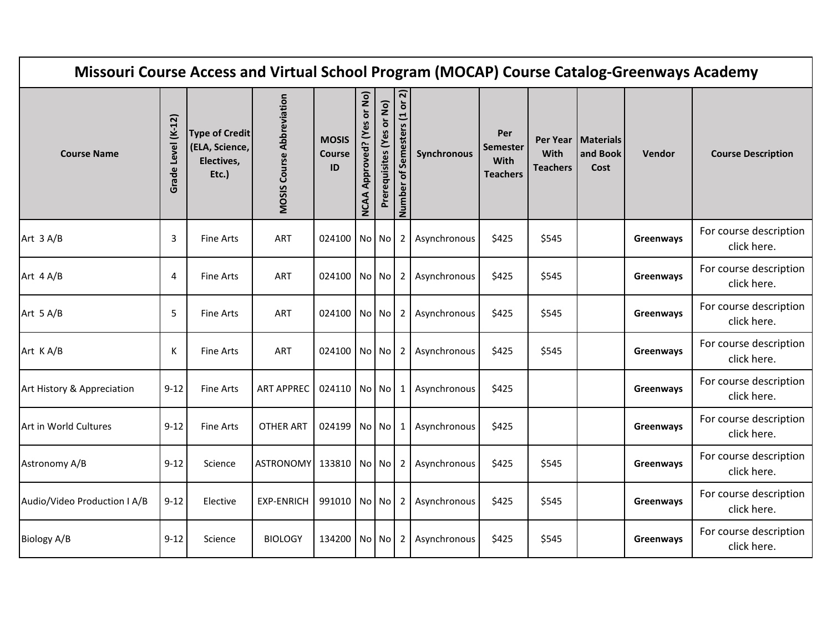| Missouri Course Access and Virtual School Program (MOCAP) Course Catalog-Greenways Academy |                       |                                                                |                                  |                                     |                                         |                           |                              |              |                                                   |                                     |                                      |           |                                       |
|--------------------------------------------------------------------------------------------|-----------------------|----------------------------------------------------------------|----------------------------------|-------------------------------------|-----------------------------------------|---------------------------|------------------------------|--------------|---------------------------------------------------|-------------------------------------|--------------------------------------|-----------|---------------------------------------|
| <b>Course Name</b>                                                                         | Level (K-12)<br>Grade | <b>Type of Credit</b><br>(ELA, Science,<br>Electives,<br>Etc.) | <b>MOSIS Course Abbreviation</b> | <b>MOSIS</b><br><b>Course</b><br>ID | or No)<br>Approved? (Yes<br><b>NCAA</b> | Prerequisites (Yes or No) | Number of Semesters (1 or 2) | Synchronous  | Per<br><b>Semester</b><br>With<br><b>Teachers</b> | Per Year<br>With<br><b>Teachers</b> | <b>Materials</b><br>and Book<br>Cost | Vendor    | <b>Course Description</b>             |
| Art $3 A/B$                                                                                | 3                     | <b>Fine Arts</b>                                               | <b>ART</b>                       | 024100 No No                        |                                         |                           | $\overline{2}$               | Asynchronous | \$425                                             | \$545                               |                                      | Greenways | For course description<br>click here. |
| Art 4 A/B                                                                                  | 4                     | Fine Arts                                                      | ART                              | 024100 No No                        |                                         |                           | 2                            | Asynchronous | \$425                                             | \$545                               |                                      | Greenways | For course description<br>click here. |
| Art 5 A/B                                                                                  | 5                     | <b>Fine Arts</b>                                               | <b>ART</b>                       | 024100 No No                        |                                         |                           | $\overline{2}$               | Asynchronous | \$425                                             | \$545                               |                                      | Greenways | For course description<br>click here. |
| Art KA/B                                                                                   | K                     | <b>Fine Arts</b>                                               | ART                              | 024100 No No                        |                                         |                           | $\overline{2}$               | Asynchronous | \$425                                             | \$545                               |                                      | Greenways | For course description<br>click here. |
| Art History & Appreciation                                                                 | $9 - 12$              | <b>Fine Arts</b>                                               | <b>ART APPREC</b>                | 024110 No No                        |                                         |                           | 1                            | Asynchronous | \$425                                             |                                     |                                      | Greenways | For course description<br>click here. |
| Art in World Cultures                                                                      | $9 - 12$              | <b>Fine Arts</b>                                               | OTHER ART                        | 024199 No No                        |                                         |                           | 1                            | Asynchronous | \$425                                             |                                     |                                      | Greenways | For course description<br>click here. |
| Astronomy A/B                                                                              | $9 - 12$              | Science                                                        | ASTRONOMY 133810 No No           |                                     |                                         |                           | $\overline{2}$               | Asynchronous | \$425                                             | \$545                               |                                      | Greenways | For course description<br>click here. |
| Audio/Video Production I A/B                                                               | $9 - 12$              | Elective                                                       | <b>EXP-ENRICH</b>                | 991010   No   No                    |                                         |                           | $\overline{2}$               | Asynchronous | \$425                                             | \$545                               |                                      | Greenways | For course description<br>click here. |
| Biology A/B                                                                                | $9 - 12$              | Science                                                        | <b>BIOLOGY</b>                   | 134200 No No                        |                                         |                           | 2                            | Asynchronous | \$425                                             | \$545                               |                                      | Greenways | For course description<br>click here. |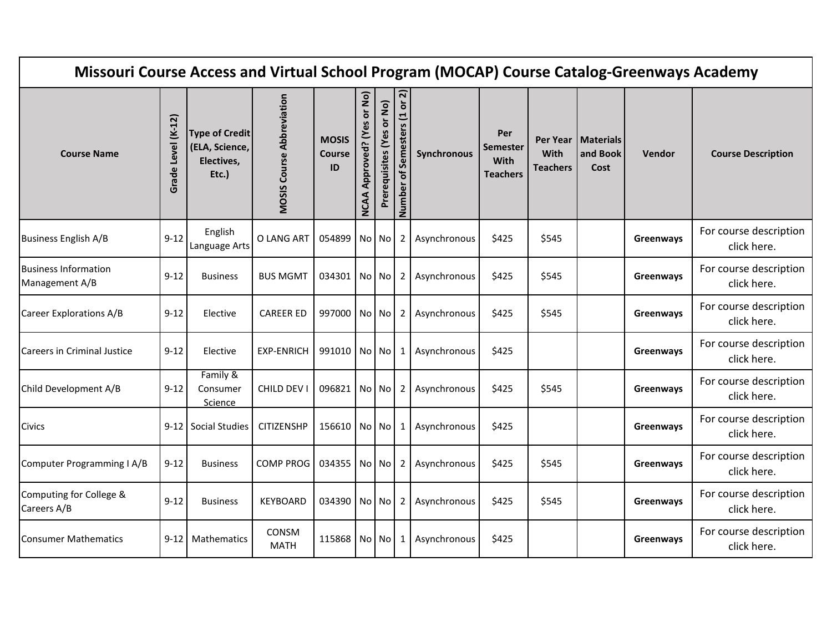| Missouri Course Access and Virtual School Program (MOCAP) Course Catalog-Greenways Academy |                       |                                                                |                                  |                                     |                                             |                           |                                                           |              |                                                   |                         |                                          |               |                                       |
|--------------------------------------------------------------------------------------------|-----------------------|----------------------------------------------------------------|----------------------------------|-------------------------------------|---------------------------------------------|---------------------------|-----------------------------------------------------------|--------------|---------------------------------------------------|-------------------------|------------------------------------------|---------------|---------------------------------------|
| <b>Course Name</b>                                                                         | Level (K-12)<br>Grade | <b>Type of Credit</b><br>(ELA, Science,<br>Electives,<br>Etc.) | <b>MOSIS Course Abbreviation</b> | <b>MOSIS</b><br><b>Course</b><br>ID | or No)<br>δĝ<br>Approved? (Y<br><b>NCAA</b> | Prerequisites (Yes or No) | ন $\overline{\mathsf{a}}$<br>of Semesters (1 or<br>Number | Synchronous  | Per<br><b>Semester</b><br>With<br><b>Teachers</b> | With<br><b>Teachers</b> | Per Year   Materials<br>and Book<br>Cost | <b>Vendor</b> | <b>Course Description</b>             |
| <b>Business English A/B</b>                                                                | $9-12$                | English<br>Language Arts                                       | O LANG ART                       | 054899 No No                        |                                             |                           | $2^{\circ}$                                               | Asynchronous | \$425                                             | \$545                   |                                          | Greenways     | For course description<br>click here. |
| <b>Business Information</b><br>Management A/B                                              | $9 - 12$              | <b>Business</b>                                                | <b>BUS MGMT</b>                  | 034301 No No                        |                                             |                           | 2                                                         | Asynchronous | \$425                                             | \$545                   |                                          | Greenways     | For course description<br>click here. |
| <b>Career Explorations A/B</b>                                                             | 9-12                  | Elective                                                       | <b>CAREER ED</b>                 | 997000 No No                        |                                             |                           | $\mathbf{2}$                                              | Asynchronous | \$425                                             | \$545                   |                                          | Greenways     | For course description<br>click here. |
| <b>Careers in Criminal Justice</b>                                                         | $9 - 12$              | Elective                                                       | <b>EXP-ENRICH</b>                | 991010 No No                        |                                             |                           | 1                                                         | Asynchronous | \$425                                             |                         |                                          | Greenways     | For course description<br>click here. |
| Child Development A/B                                                                      | $9 - 12$              | Family &<br>Consumer<br>Science                                | CHILD DEV I                      | 096821                              |                                             | No No                     | 2                                                         | Asynchronous | \$425                                             | \$545                   |                                          | Greenways     | For course description<br>click here. |
| Civics                                                                                     |                       | 9-12 Social Studies                                            | <b>CITIZENSHP</b>                | 156610 No No                        |                                             |                           | $\mathbf{1}$                                              | Asynchronous | \$425                                             |                         |                                          | Greenways     | For course description<br>click here. |
| Computer Programming I A/B                                                                 | $9 - 12$              | <b>Business</b>                                                | <b>COMP PROG</b>                 | 034355 No No                        |                                             |                           | $\overline{2}$                                            | Asynchronous | \$425                                             | \$545                   |                                          | Greenways     | For course description<br>click here. |
| Computing for College &<br>Careers A/B                                                     | $9 - 12$              | <b>Business</b>                                                | <b>KEYBOARD</b>                  | 034390   No   No                    |                                             |                           | $2^{\circ}$                                               | Asynchronous | \$425                                             | \$545                   |                                          | Greenways     | For course description<br>click here. |
| <b>Consumer Mathematics</b>                                                                | $9 - 12$              | Mathematics                                                    | CONSM<br><b>MATH</b>             | 115868 No No                        |                                             |                           | 1                                                         | Asynchronous | \$425                                             |                         |                                          | Greenways     | For course description<br>click here. |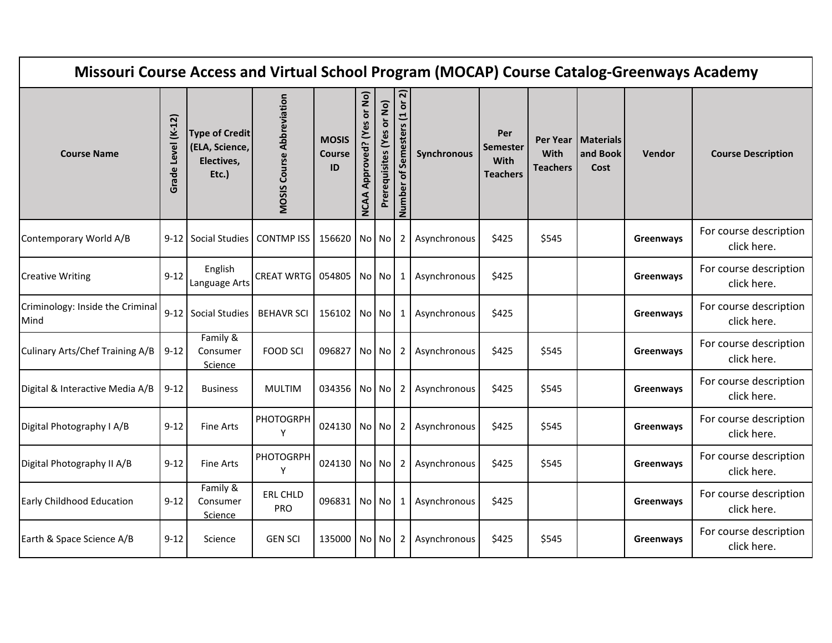| Missouri Course Access and Virtual School Program (MOCAP) Course Catalog-Greenways Academy |                       |                                                                |                                  |                                     |                                             |                           |                                          |              |                                            |                         |                                          |               |                                       |
|--------------------------------------------------------------------------------------------|-----------------------|----------------------------------------------------------------|----------------------------------|-------------------------------------|---------------------------------------------|---------------------------|------------------------------------------|--------------|--------------------------------------------|-------------------------|------------------------------------------|---------------|---------------------------------------|
| <b>Course Name</b>                                                                         | Level (K-12)<br>Grade | <b>Type of Credit</b><br>(ELA, Science,<br>Electives,<br>Etc.) | <b>MOSIS Course Abbreviation</b> | <b>MOSIS</b><br><b>Course</b><br>ID | or No)<br>es<br>Approved? (Y<br><b>NCAA</b> | Prerequisites (Yes or No) | <u>ন</u><br>of Semesters (1 or<br>Number | Synchronous  | Per<br>Semester<br>With<br><b>Teachers</b> | With<br><b>Teachers</b> | Per Year   Materials<br>and Book<br>Cost | <b>Vendor</b> | <b>Course Description</b>             |
| Contemporary World A/B                                                                     |                       | 9-12 Social Studies   CONTMP ISS                               |                                  | 156620 No No                        |                                             |                           | 2 <sup>1</sup>                           | Asynchronous | \$425                                      | \$545                   |                                          | Greenways     | For course description<br>click here. |
| <b>Creative Writing</b>                                                                    | $9 - 12$              | English<br>Language Arts                                       | <b>CREAT WRTG</b>                | 054805 No No                        |                                             |                           | 1                                        | Asynchronous | \$425                                      |                         |                                          | Greenways     | For course description<br>click here. |
| Criminology: Inside the Criminal<br>Mind                                                   |                       | 9-12 Social Studies                                            | <b>BEHAVR SCI</b>                | 156102 No No                        |                                             |                           | 1                                        | Asynchronous | \$425                                      |                         |                                          | Greenways     | For course description<br>click here. |
| Culinary Arts/Chef Training A/B                                                            | $9 - 12$              | Family &<br>Consumer<br>Science                                | <b>FOOD SCI</b>                  | 096827 No No                        |                                             |                           | 2                                        | Asynchronous | \$425                                      | \$545                   |                                          | Greenways     | For course description<br>click here. |
| Digital & Interactive Media A/B                                                            | $9 - 12$              | <b>Business</b>                                                | <b>MULTIM</b>                    | 034356 No No                        |                                             |                           | 2                                        | Asynchronous | \$425                                      | \$545                   |                                          | Greenways     | For course description<br>click here. |
| Digital Photography I A/B                                                                  | $9 - 12$              | <b>Fine Arts</b>                                               | PHOTOGRPH<br>Y                   | 024130 No No                        |                                             |                           | 2 <sup>1</sup>                           | Asynchronous | \$425                                      | \$545                   |                                          | Greenways     | For course description<br>click here. |
| Digital Photography II A/B                                                                 | $9 - 12$              | <b>Fine Arts</b>                                               | <b>PHOTOGRPH</b><br>Y            | 024130 No No                        |                                             |                           | 2 <sup>1</sup>                           | Asynchronous | \$425                                      | \$545                   |                                          | Greenways     | For course description<br>click here. |
| Early Childhood Education                                                                  | $9 - 12$              | Family &<br>Consumer<br>Science                                | <b>ERL CHLD</b><br><b>PRO</b>    | 096831 No No                        |                                             |                           | 1                                        | Asynchronous | \$425                                      |                         |                                          | Greenways     | For course description<br>click here. |
| Earth & Space Science A/B                                                                  | $9 - 12$              | Science                                                        | <b>GEN SCI</b>                   | 135000 No No                        |                                             |                           | 2                                        | Asynchronous | \$425                                      | \$545                   |                                          | Greenways     | For course description<br>click here. |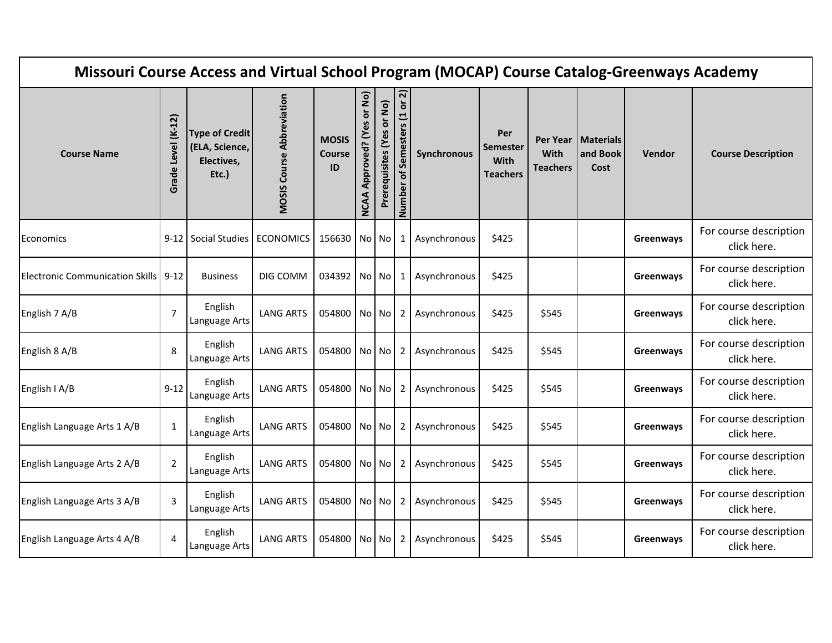| Missouri Course Access and Virtual School Program (MOCAP) Course Catalog-Greenways Academy |                       |                                                                |                                  |                              |                                             |                           |                                                         |              |                                                   |                         |                                          |           |                                       |
|--------------------------------------------------------------------------------------------|-----------------------|----------------------------------------------------------------|----------------------------------|------------------------------|---------------------------------------------|---------------------------|---------------------------------------------------------|--------------|---------------------------------------------------|-------------------------|------------------------------------------|-----------|---------------------------------------|
| <b>Course Name</b>                                                                         | Level (K-12)<br>Grade | <b>Type of Credit</b><br>(ELA, Science,<br>Electives,<br>Etc.) | <b>MOSIS Course Abbreviation</b> | <b>MOSIS</b><br>Course<br>ID | or No)<br>es<br>Approved? (Y<br><b>NCAA</b> | Prerequisites (Yes or No) | $\overline{\mathsf{N}}$<br>of Semesters (1 or<br>Number | Synchronous  | Per<br><b>Semester</b><br>With<br><b>Teachers</b> | With<br><b>Teachers</b> | Per Year   Materials<br>and Book<br>Cost | Vendor    | <b>Course Description</b>             |
| Economics                                                                                  |                       | 9-12 Social Studies                                            | <b>ECONOMICS</b>                 | 156630 No No                 |                                             |                           | 1                                                       | Asynchronous | \$425                                             |                         |                                          | Greenways | For course description<br>click here. |
| <b>Electronic Communication Skills</b>                                                     | $9 - 12$              | <b>Business</b>                                                | DIG COMM                         | 034392 No No                 |                                             |                           | $\mathbf{1}$                                            | Asynchronous | \$425                                             |                         |                                          | Greenways | For course description<br>click here. |
| English 7 A/B                                                                              | $\overline{7}$        | English<br>Language Arts                                       | <b>LANG ARTS</b>                 | 054800 No No                 |                                             |                           | $\mathbf{2}$                                            | Asynchronous | \$425                                             | \$545                   |                                          | Greenways | For course description<br>click here. |
| English 8 A/B                                                                              | 8                     | English<br>Language Arts                                       | <b>LANG ARTS</b>                 | 054800 No No                 |                                             |                           | $\mathbf{2}$                                            | Asynchronous | \$425                                             | \$545                   |                                          | Greenways | For course description<br>click here. |
| English I A/B                                                                              | $9-12$                | English<br>Language Arts                                       | <b>LANG ARTS</b>                 | 054800 No No                 |                                             |                           | 2                                                       | Asynchronous | \$425                                             | \$545                   |                                          | Greenways | For course description<br>click here. |
| English Language Arts 1 A/B                                                                | $\mathbf{1}$          | English<br>Language Arts                                       | <b>LANG ARTS</b>                 | 054800 No No                 |                                             |                           | $\mathbf{2}$                                            | Asynchronous | \$425                                             | \$545                   |                                          | Greenways | For course description<br>click here. |
| English Language Arts 2 A/B                                                                | $\overline{2}$        | English<br>Language Arts                                       | <b>LANG ARTS</b>                 | 054800 No No                 |                                             |                           | $\overline{2}$                                          | Asynchronous | \$425                                             | \$545                   |                                          | Greenways | For course description<br>click here. |
| English Language Arts 3 A/B                                                                | $\mathbf{3}$          | English<br>Language Arts                                       | <b>LANG ARTS</b>                 | 054800   No   No             |                                             |                           | $\mathbf{2}$                                            | Asynchronous | \$425                                             | \$545                   |                                          | Greenways | For course description<br>click here. |
| English Language Arts 4 A/B                                                                | $\overline{4}$        | English<br>Language Arts                                       | <b>LANG ARTS</b>                 | 054800 No No                 |                                             |                           | 2                                                       | Asynchronous | \$425                                             | \$545                   |                                          | Greenways | For course description<br>click here. |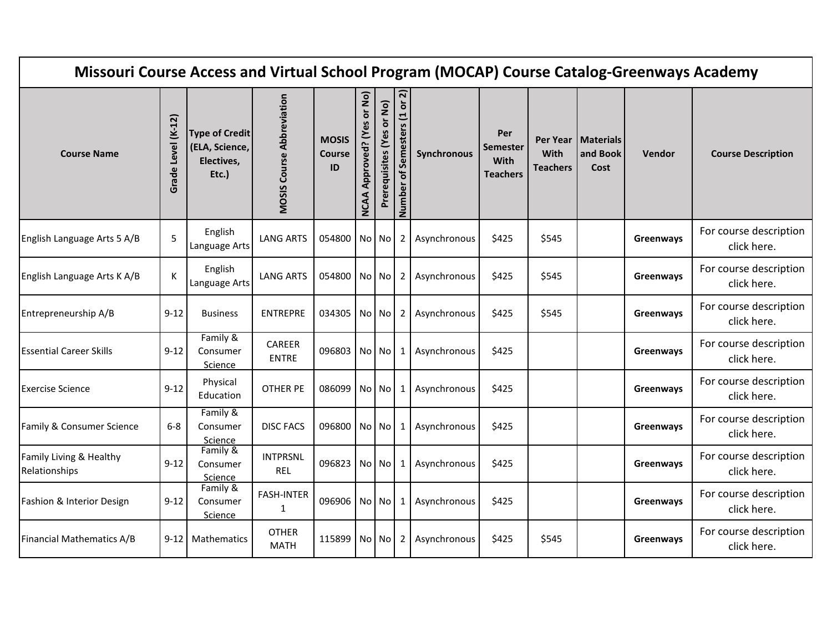| Missouri Course Access and Virtual School Program (MOCAP) Course Catalog-Greenways Academy |                       |                                                                |                                   |                                     |                                             |                           |                                   |              |                                            |                         |                                          |           |                                       |
|--------------------------------------------------------------------------------------------|-----------------------|----------------------------------------------------------------|-----------------------------------|-------------------------------------|---------------------------------------------|---------------------------|-----------------------------------|--------------|--------------------------------------------|-------------------------|------------------------------------------|-----------|---------------------------------------|
| <b>Course Name</b>                                                                         | Level (K-12)<br>Grade | <b>Type of Credit</b><br>(ELA, Science,<br>Electives,<br>Etc.) | <b>MOSIS Course Abbreviation</b>  | <b>MOSIS</b><br><b>Course</b><br>ID | or No)<br>မိ<br>Approved? (Y<br><b>NCAA</b> | Prerequisites (Yes or No) | ন<br>of Semesters (1 or<br>Number | Synchronous  | Per<br>Semester<br>With<br><b>Teachers</b> | With<br><b>Teachers</b> | Per Year   Materials<br>and Book<br>Cost | Vendor    | <b>Course Description</b>             |
| English Language Arts 5 A/B                                                                | 5                     | English<br>Language Arts                                       | <b>LANG ARTS</b>                  | 054800 No No                        |                                             |                           | $\mathbf{2}$                      | Asynchronous | \$425                                      | \$545                   |                                          | Greenways | For course description<br>click here. |
| English Language Arts K A/B                                                                | К                     | English<br>Language Arts                                       | <b>LANG ARTS</b>                  | 054800 No No                        |                                             |                           | 2                                 | Asynchronous | \$425                                      | \$545                   |                                          | Greenways | For course description<br>click here. |
| Entrepreneurship A/B                                                                       | $9 - 12$              | <b>Business</b>                                                | <b>ENTREPRE</b>                   | 034305 No No                        |                                             |                           | 2                                 | Asynchronous | \$425                                      | \$545                   |                                          | Greenways | For course description<br>click here. |
| <b>Essential Career Skills</b>                                                             | $9 - 12$              | Family &<br>Consumer<br>Science                                | CAREER<br><b>ENTRE</b>            | 096803 No No                        |                                             |                           | 1                                 | Asynchronous | \$425                                      |                         |                                          | Greenways | For course description<br>click here. |
| <b>Exercise Science</b>                                                                    | $9 - 12$              | Physical<br>Education                                          | <b>OTHER PE</b>                   | 086099 No No                        |                                             |                           | 1                                 | Asynchronous | \$425                                      |                         |                                          | Greenways | For course description<br>click here. |
| Family & Consumer Science                                                                  | $6 - 8$               | Family &<br>Consumer<br>Science                                | <b>DISC FACS</b>                  | 096800 No No                        |                                             |                           | $1\vert$                          | Asynchronous | \$425                                      |                         |                                          | Greenways | For course description<br>click here. |
| Family Living & Healthy<br>Relationships                                                   | $9 - 12$              | Family &<br>Consumer<br>Science                                | <b>INTPRSNL</b><br>REL            | 096823 No No                        |                                             |                           | $\mathbf{1}$                      | Asynchronous | \$425                                      |                         |                                          | Greenways | For course description<br>click here. |
| Fashion & Interior Design                                                                  | $9 - 12$              | Family &<br>Consumer<br>Science                                | <b>FASH-INTER</b><br>$\mathbf{1}$ | 096906 No No                        |                                             |                           | 1                                 | Asynchronous | \$425                                      |                         |                                          | Greenways | For course description<br>click here. |
| Financial Mathematics A/B                                                                  | $9 - 12$              | Mathematics                                                    | <b>OTHER</b><br><b>MATH</b>       | 115899 No No                        |                                             |                           | 2                                 | Asynchronous | \$425                                      | \$545                   |                                          | Greenways | For course description<br>click here. |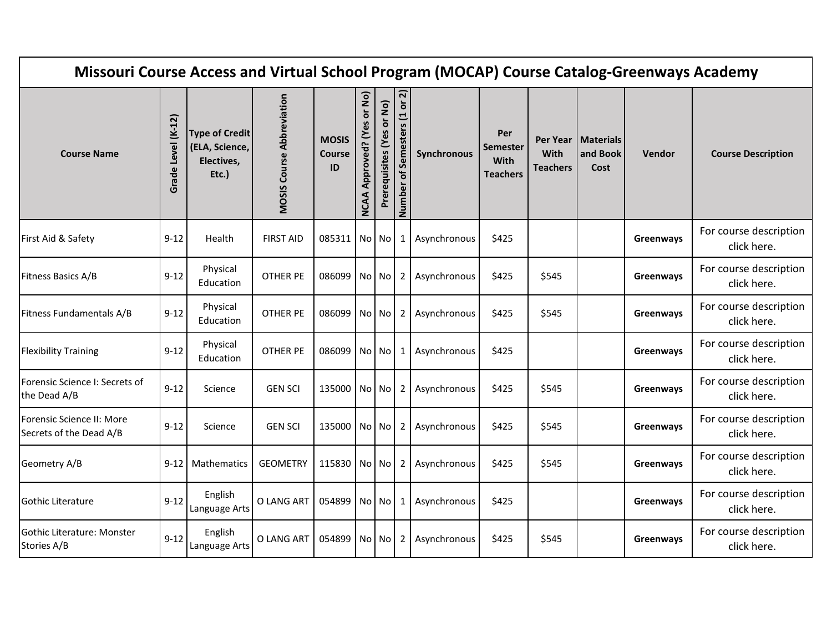| Missouri Course Access and Virtual School Program (MOCAP) Course Catalog-Greenways Academy |                       |                                                                |                                  |                                     |                                             |                           |                                                           |              |                                                   |                         |                                          |           |                                       |
|--------------------------------------------------------------------------------------------|-----------------------|----------------------------------------------------------------|----------------------------------|-------------------------------------|---------------------------------------------|---------------------------|-----------------------------------------------------------|--------------|---------------------------------------------------|-------------------------|------------------------------------------|-----------|---------------------------------------|
| <b>Course Name</b>                                                                         | Level (K-12)<br>Grade | <b>Type of Credit</b><br>(ELA, Science,<br>Electives,<br>Etc.) | <b>MOSIS Course Abbreviation</b> | <b>MOSIS</b><br><b>Course</b><br>ID | or No)<br>es<br>Approved? (Y<br><b>NCAA</b> | Prerequisites (Yes or No) | ন $\overline{\mathsf{a}}$<br>of Semesters (1 or<br>Number | Synchronous  | Per<br><b>Semester</b><br>With<br><b>Teachers</b> | With<br><b>Teachers</b> | Per Year   Materials<br>and Book<br>Cost | Vendor    | <b>Course Description</b>             |
| First Aid & Safety                                                                         | $9 - 12$              | Health                                                         | <b>FIRST AID</b>                 | 085311   No   No                    |                                             |                           | 1                                                         | Asynchronous | \$425                                             |                         |                                          | Greenways | For course description<br>click here. |
| Fitness Basics A/B                                                                         | $9 - 12$              | Physical<br>Education                                          | <b>OTHER PE</b>                  | 086099 No No                        |                                             |                           | 2                                                         | Asynchronous | \$425                                             | \$545                   |                                          | Greenways | For course description<br>click here. |
| Fitness Fundamentals A/B                                                                   | $9-12$                | Physical<br>Education                                          | <b>OTHER PE</b>                  | 086099                              |                                             | No No                     | $\mathbf{2}$                                              | Asynchronous | \$425                                             | \$545                   |                                          | Greenways | For course description<br>click here. |
| <b>Flexibility Training</b>                                                                | $9 - 12$              | Physical<br>Education                                          | <b>OTHER PE</b>                  | 086099 No No                        |                                             |                           | 1                                                         | Asynchronous | \$425                                             |                         |                                          | Greenways | For course description<br>click here. |
| Forensic Science I: Secrets of<br>the Dead A/B                                             | $9 - 12$              | Science                                                        | <b>GEN SCI</b>                   | 135000 No No                        |                                             |                           | 2                                                         | Asynchronous | \$425                                             | \$545                   |                                          | Greenways | For course description<br>click here. |
| Forensic Science II: More<br>Secrets of the Dead A/B                                       | $9 - 12$              | Science                                                        | <b>GEN SCI</b>                   | 135000 No No                        |                                             |                           | $\mathbf{2}$                                              | Asynchronous | \$425                                             | \$545                   |                                          | Greenways | For course description<br>click here. |
| Geometry A/B                                                                               | $9-12$                | Mathematics                                                    | <b>GEOMETRY</b>                  | 115830 No No                        |                                             |                           | 2                                                         | Asynchronous | \$425                                             | \$545                   |                                          | Greenways | For course description<br>click here. |
| Gothic Literature                                                                          | $9 - 12$              | English<br>Language Arts                                       | O LANG ART                       | 054899                              |                                             | No No                     | $\mathbf{1}$                                              | Asynchronous | \$425                                             |                         |                                          | Greenways | For course description<br>click here. |
| Gothic Literature: Monster<br>Stories A/B                                                  | $9 - 12$              | English<br>Language Arts                                       | O LANG ART                       | 054899                              |                                             | No No                     | 2                                                         | Asynchronous | \$425                                             | \$545                   |                                          | Greenways | For course description<br>click here. |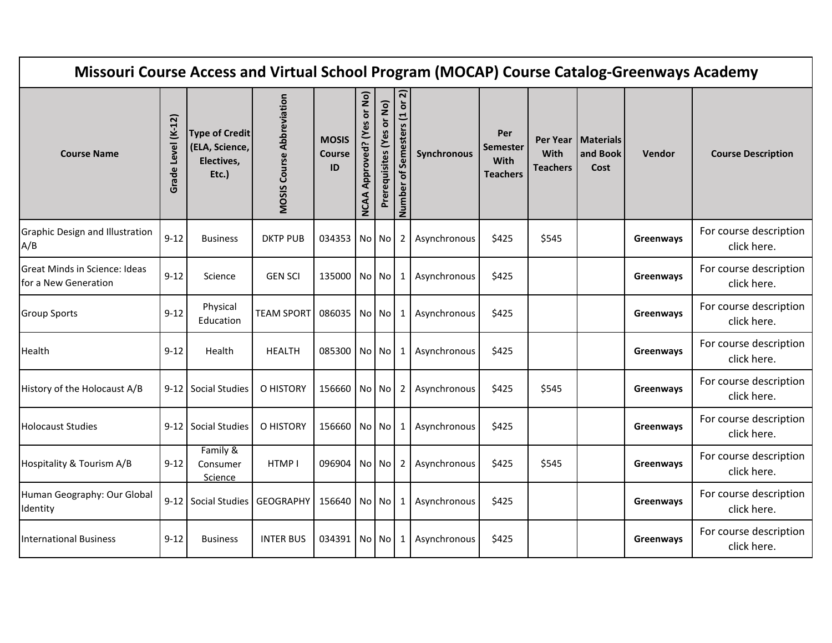| Missouri Course Access and Virtual School Program (MOCAP) Course Catalog-Greenways Academy |                       |                                                                |                                  |                                     |                                             |                           |                                                           |              |                                            |                         |                                          |           |                                       |
|--------------------------------------------------------------------------------------------|-----------------------|----------------------------------------------------------------|----------------------------------|-------------------------------------|---------------------------------------------|---------------------------|-----------------------------------------------------------|--------------|--------------------------------------------|-------------------------|------------------------------------------|-----------|---------------------------------------|
| <b>Course Name</b>                                                                         | Level (K-12)<br>Grade | <b>Type of Credit</b><br>(ELA, Science,<br>Electives,<br>Etc.) | <b>MOSIS Course Abbreviation</b> | <b>MOSIS</b><br><b>Course</b><br>ID | or No)<br>es<br>Approved? (Y<br><b>NCAA</b> | Prerequisites (Yes or No) | ন $\overline{\mathsf{a}}$<br>of Semesters (1 or<br>Number | Synchronous  | Per<br>Semester<br>With<br><b>Teachers</b> | With<br><b>Teachers</b> | Per Year   Materials<br>and Book<br>Cost | Vendor    | <b>Course Description</b>             |
| Graphic Design and Illustration<br>A/B                                                     | $9 - 12$              | <b>Business</b>                                                | <b>DKTP PUB</b>                  | 034353 No No                        |                                             |                           | 2                                                         | Asynchronous | \$425                                      | \$545                   |                                          | Greenways | For course description<br>click here. |
| Great Minds in Science: Ideas<br>for a New Generation                                      | $9 - 12$              | Science                                                        | <b>GEN SCI</b>                   | 135000 No No                        |                                             |                           | 1                                                         | Asynchronous | \$425                                      |                         |                                          | Greenways | For course description<br>click here. |
| <b>Group Sports</b>                                                                        | $9 - 12$              | Physical<br>Education                                          | <b>TEAM SPORT</b>                | 086035   No   No                    |                                             |                           | 1                                                         | Asynchronous | \$425                                      |                         |                                          | Greenways | For course description<br>click here. |
| Health                                                                                     | $9 - 12$              | Health                                                         | <b>HEALTH</b>                    | 085300 No No                        |                                             |                           | 1                                                         | Asynchronous | \$425                                      |                         |                                          | Greenways | For course description<br>click here. |
| History of the Holocaust A/B                                                               |                       | 9-12 Social Studies                                            | O HISTORY                        | 156660 No No                        |                                             |                           |                                                           | Asynchronous | \$425                                      | \$545                   |                                          | Greenways | For course description<br>click here. |
| <b>Holocaust Studies</b>                                                                   |                       | 9-12 Social Studies                                            | O HISTORY                        | 156660 No No                        |                                             |                           | $1\vert$                                                  | Asynchronous | \$425                                      |                         |                                          | Greenways | For course description<br>click here. |
| Hospitality & Tourism A/B                                                                  | $9 - 12$              | Family &<br>Consumer<br>Science                                | HTMP I                           | 096904 No No                        |                                             |                           | 2                                                         | Asynchronous | \$425                                      | \$545                   |                                          | Greenways | For course description<br>click here. |
| Human Geography: Our Global<br>Identity                                                    |                       | 9-12 Social Studies                                            | <b>GEOGRAPHY</b>                 | 156640 No No                        |                                             |                           | 1                                                         | Asynchronous | \$425                                      |                         |                                          | Greenways | For course description<br>click here. |
| <b>International Business</b>                                                              | $9 - 12$              | <b>Business</b>                                                | <b>INTER BUS</b>                 | 034391 No No                        |                                             |                           | 1                                                         | Asynchronous | \$425                                      |                         |                                          | Greenways | For course description<br>click here. |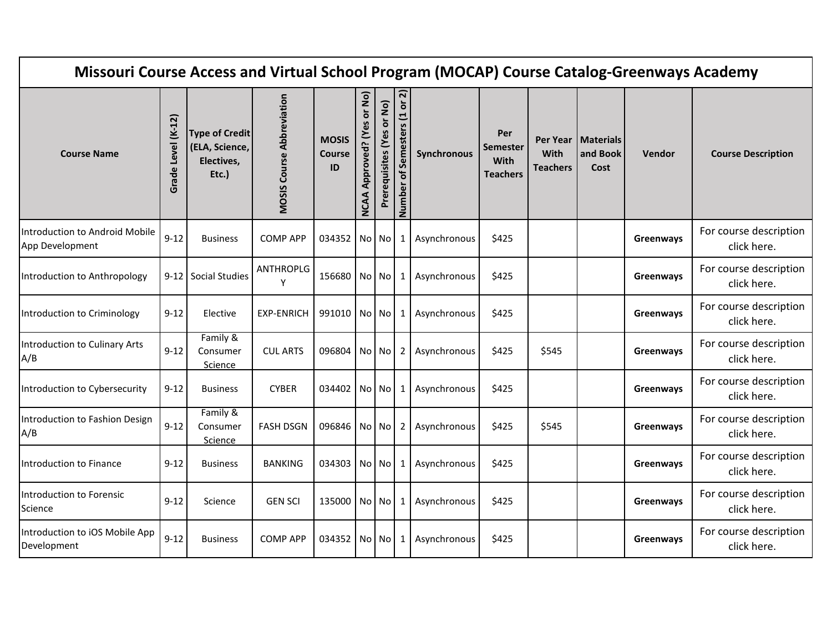| Missouri Course Access and Virtual School Program (MOCAP) Course Catalog-Greenways Academy |                       |                                                                |                                  |                                     |                                             |                           |                                                           |              |                                            |                         |                                          |           |                                       |
|--------------------------------------------------------------------------------------------|-----------------------|----------------------------------------------------------------|----------------------------------|-------------------------------------|---------------------------------------------|---------------------------|-----------------------------------------------------------|--------------|--------------------------------------------|-------------------------|------------------------------------------|-----------|---------------------------------------|
| <b>Course Name</b>                                                                         | Level (K-12)<br>Grade | <b>Type of Credit</b><br>(ELA, Science,<br>Electives,<br>Etc.) | <b>MOSIS Course Abbreviation</b> | <b>MOSIS</b><br><b>Course</b><br>ID | or No)<br>မိ<br>Approved? (Y<br><b>NCAA</b> | Prerequisites (Yes or No) | ন $\overline{\mathsf{a}}$<br>of Semesters (1 or<br>Number | Synchronous  | Per<br>Semester<br>With<br><b>Teachers</b> | With<br><b>Teachers</b> | Per Year   Materials<br>and Book<br>Cost | Vendor    | <b>Course Description</b>             |
| Introduction to Android Mobile<br>App Development                                          | $9 - 12$              | <b>Business</b>                                                | <b>COMP APP</b>                  | 034352 No No                        |                                             |                           | 1                                                         | Asynchronous | \$425                                      |                         |                                          | Greenways | For course description<br>click here. |
| Introduction to Anthropology                                                               |                       | 9-12 Social Studies                                            | <b>ANTHROPLG</b><br>Y            | 156680 No No                        |                                             |                           | 1                                                         | Asynchronous | \$425                                      |                         |                                          | Greenways | For course description<br>click here. |
| Introduction to Criminology                                                                | $9 - 12$              | Elective                                                       | <b>EXP-ENRICH</b>                | 991010 No No                        |                                             |                           | 1                                                         | Asynchronous | \$425                                      |                         |                                          | Greenways | For course description<br>click here. |
| Introduction to Culinary Arts<br>A/B                                                       | $9 - 12$              | Family &<br>Consumer<br>Science                                | <b>CUL ARTS</b>                  | 096804 No No                        |                                             |                           | 2                                                         | Asynchronous | \$425                                      | \$545                   |                                          | Greenways | For course description<br>click here. |
| Introduction to Cybersecurity                                                              | $9 - 12$              | <b>Business</b>                                                | <b>CYBER</b>                     | 034402 No No                        |                                             |                           | 1                                                         | Asynchronous | \$425                                      |                         |                                          | Greenways | For course description<br>click here. |
| Introduction to Fashion Design<br>A/B                                                      | $9 - 12$              | Family &<br>Consumer<br>Science                                | <b>FASH DSGN</b>                 | 096846 No No                        |                                             |                           | 2 <sub>1</sub>                                            | Asynchronous | \$425                                      | \$545                   |                                          | Greenways | For course description<br>click here. |
| Introduction to Finance                                                                    | $9 - 12$              | <b>Business</b>                                                | <b>BANKING</b>                   | 034303 No No                        |                                             |                           | $\mathbf{1}$                                              | Asynchronous | \$425                                      |                         |                                          | Greenways | For course description<br>click here. |
| Introduction to Forensic<br>Science                                                        | $9 - 12$              | Science                                                        | <b>GEN SCI</b>                   | 135000 No No                        |                                             |                           | 1                                                         | Asynchronous | \$425                                      |                         |                                          | Greenways | For course description<br>click here. |
| Introduction to iOS Mobile App<br>Development                                              | $9 - 12$              | <b>Business</b>                                                | <b>COMP APP</b>                  | 034352 No No                        |                                             |                           | 1                                                         | Asynchronous | \$425                                      |                         |                                          | Greenways | For course description<br>click here. |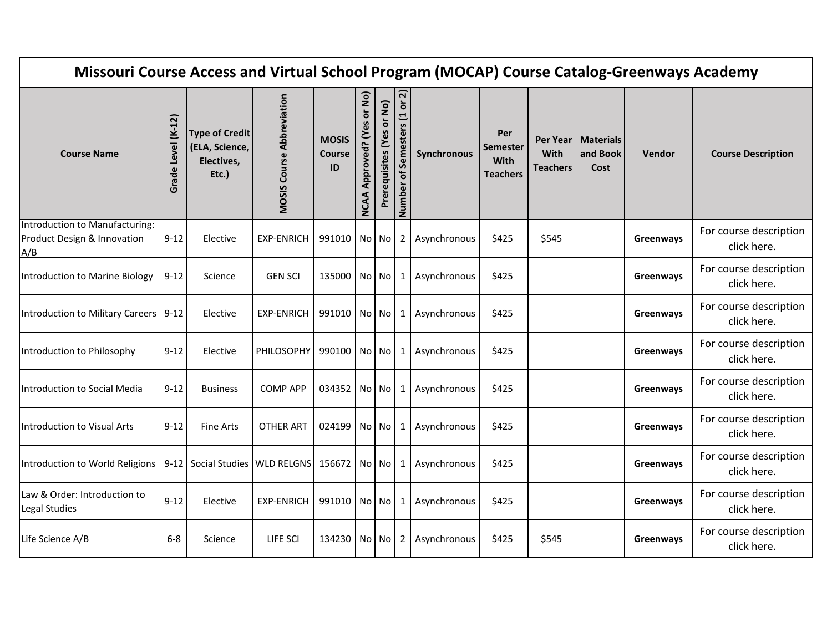| Missouri Course Access and Virtual School Program (MOCAP) Course Catalog-Greenways Academy |                       |                                                                |                                  |                                     |                                             |                           |                                   |              |                                            |                         |                                          |               |                                       |
|--------------------------------------------------------------------------------------------|-----------------------|----------------------------------------------------------------|----------------------------------|-------------------------------------|---------------------------------------------|---------------------------|-----------------------------------|--------------|--------------------------------------------|-------------------------|------------------------------------------|---------------|---------------------------------------|
| <b>Course Name</b>                                                                         | Level (K-12)<br>Grade | <b>Type of Credit</b><br>(ELA, Science,<br>Electives,<br>Etc.) | <b>MOSIS Course Abbreviation</b> | <b>MOSIS</b><br><b>Course</b><br>ID | or No)<br>မိ<br>Approved? (Y<br><b>NCAA</b> | Prerequisites (Yes or No) | ត<br>of Semesters (1 or<br>Number | Synchronous  | Per<br>Semester<br>With<br><b>Teachers</b> | With<br><b>Teachers</b> | Per Year   Materials<br>and Book<br>Cost | <b>Vendor</b> | <b>Course Description</b>             |
| Introduction to Manufacturing:<br>Product Design & Innovation<br>A/B                       | $9 - 12$              | Elective                                                       | <b>EXP-ENRICH</b>                | 991010 No No                        |                                             |                           | 2 <sub>1</sub>                    | Asynchronous | \$425                                      | \$545                   |                                          | Greenways     | For course description<br>click here. |
| Introduction to Marine Biology                                                             | $9 - 12$              | Science                                                        | <b>GEN SCI</b>                   | 135000 No No                        |                                             |                           | 1                                 | Asynchronous | \$425                                      |                         |                                          | Greenways     | For course description<br>click here. |
| Introduction to Military Careers                                                           | $9 - 12$              | Elective                                                       | <b>EXP-ENRICH</b>                | 991010 No No                        |                                             |                           | $\mathbf{1}$                      | Asynchronous | \$425                                      |                         |                                          | Greenways     | For course description<br>click here. |
| Introduction to Philosophy                                                                 | $9 - 12$              | Elective                                                       | PHILOSOPHY                       | 990100 No No                        |                                             |                           | $1\phantom{.0}$                   | Asynchronous | \$425                                      |                         |                                          | Greenways     | For course description<br>click here. |
| Introduction to Social Media                                                               | $9 - 12$              | <b>Business</b>                                                | <b>COMP APP</b>                  | 034352 No No                        |                                             |                           | 1                                 | Asynchronous | \$425                                      |                         |                                          | Greenways     | For course description<br>click here. |
| Introduction to Visual Arts                                                                | $9 - 12$              | <b>Fine Arts</b>                                               | <b>OTHER ART</b>                 | 024199 No No                        |                                             |                           | $1\vert$                          | Asynchronous | \$425                                      |                         |                                          | Greenways     | For course description<br>click here. |
| Introduction to World Religions                                                            |                       | 9-12 Social Studies   WLD RELGNS   156672   No   No            |                                  |                                     |                                             |                           | $1\vert$                          | Asynchronous | \$425                                      |                         |                                          | Greenways     | For course description<br>click here. |
| Law & Order: Introduction to<br>Legal Studies                                              | $9 - 12$              | Elective                                                       | <b>EXP-ENRICH</b>                | 991010 No No                        |                                             |                           | $1\phantom{.}$                    | Asynchronous | \$425                                      |                         |                                          | Greenways     | For course description<br>click here. |
| Life Science A/B                                                                           | $6-8$                 | Science                                                        | LIFE SCI                         | 134230 No No                        |                                             |                           | 2                                 | Asynchronous | \$425                                      | \$545                   |                                          | Greenways     | For course description<br>click here. |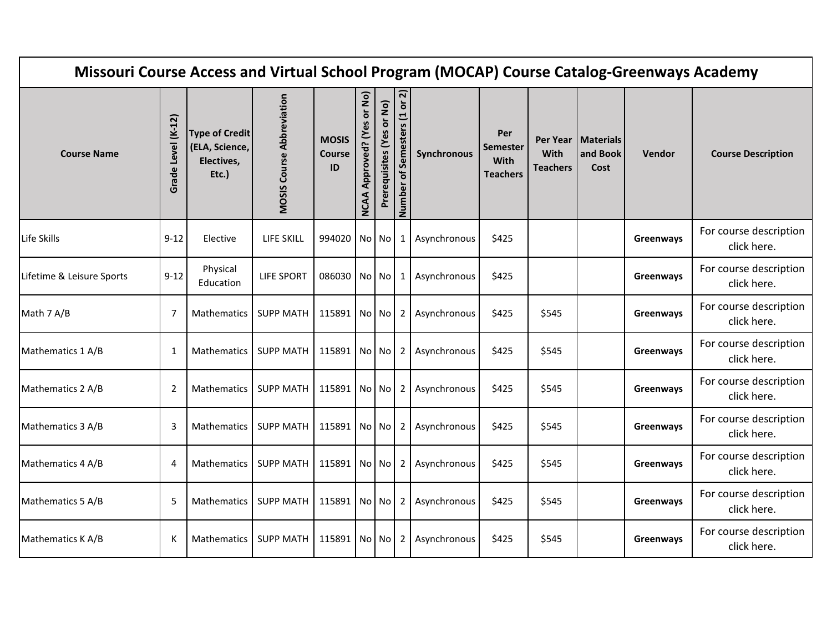| Missouri Course Access and Virtual School Program (MOCAP) Course Catalog-Greenways Academy |                       |                                                                |                                  |                                     |                                         |                           |                                                           |              |                                            |                         |                                          |           |                                       |
|--------------------------------------------------------------------------------------------|-----------------------|----------------------------------------------------------------|----------------------------------|-------------------------------------|-----------------------------------------|---------------------------|-----------------------------------------------------------|--------------|--------------------------------------------|-------------------------|------------------------------------------|-----------|---------------------------------------|
| <b>Course Name</b>                                                                         | Level (K-12)<br>Grade | <b>Type of Credit</b><br>(ELA, Science,<br>Electives,<br>Etc.) | <b>MOSIS Course Abbreviation</b> | <b>MOSIS</b><br><b>Course</b><br>ID | or No)<br>Approved? (Yes<br><b>NCAA</b> | Prerequisites (Yes or No) | ন $\overline{\mathsf{a}}$<br>of Semesters (1 or<br>Number | Synchronous  | Per<br>Semester<br>With<br><b>Teachers</b> | With<br><b>Teachers</b> | Per Year   Materials<br>and Book<br>Cost | Vendor    | <b>Course Description</b>             |
| Life Skills                                                                                | $9 - 12$              | Elective                                                       | LIFE SKILL                       | 994020 No No                        |                                         |                           | $1\vert$                                                  | Asynchronous | \$425                                      |                         |                                          | Greenways | For course description<br>click here. |
| Lifetime & Leisure Sports                                                                  | $9 - 12$              | Physical<br>Education                                          | <b>LIFE SPORT</b>                | 086030 No No                        |                                         |                           | 1                                                         | Asynchronous | \$425                                      |                         |                                          | Greenways | For course description<br>click here. |
| Math 7 A/B                                                                                 | 7                     | Mathematics                                                    | <b>SUPP MATH</b>                 | 115891 No No                        |                                         |                           | $\mathbf{2}$                                              | Asynchronous | \$425                                      | \$545                   |                                          | Greenways | For course description<br>click here. |
| Mathematics 1 A/B                                                                          | 1                     | Mathematics                                                    | <b>SUPP MATH</b>                 | 115891 No No                        |                                         |                           | 2 <sub>1</sub>                                            | Asynchronous | \$425                                      | \$545                   |                                          | Greenways | For course description<br>click here. |
| Mathematics 2 A/B                                                                          | $\overline{2}$        | Mathematics                                                    | <b>SUPP MATH</b>                 | 115891 No No                        |                                         |                           | 2                                                         | Asynchronous | \$425                                      | \$545                   |                                          | Greenways | For course description<br>click here. |
| Mathematics 3 A/B                                                                          | 3                     | Mathematics                                                    | <b>SUPP MATH</b>                 | 115891 No No                        |                                         |                           | $\overline{2}$                                            | Asynchronous | \$425                                      | \$545                   |                                          | Greenways | For course description<br>click here. |
| Mathematics 4 A/B                                                                          | $\overline{4}$        | Mathematics                                                    | <b>SUPP MATH</b>                 | 115891 No No                        |                                         |                           | 2                                                         | Asynchronous | \$425                                      | \$545                   |                                          | Greenways | For course description<br>click here. |
| Mathematics 5 A/B                                                                          | 5                     | Mathematics                                                    | <b>SUPP MATH</b>                 | 115891 No No                        |                                         |                           | 2 <sub>1</sub>                                            | Asynchronous | \$425                                      | \$545                   |                                          | Greenways | For course description<br>click here. |
| Mathematics K A/B                                                                          | К                     | Mathematics                                                    | <b>SUPP MATH</b>                 | 115891 No No                        |                                         |                           | 2                                                         | Asynchronous | \$425                                      | \$545                   |                                          | Greenways | For course description<br>click here. |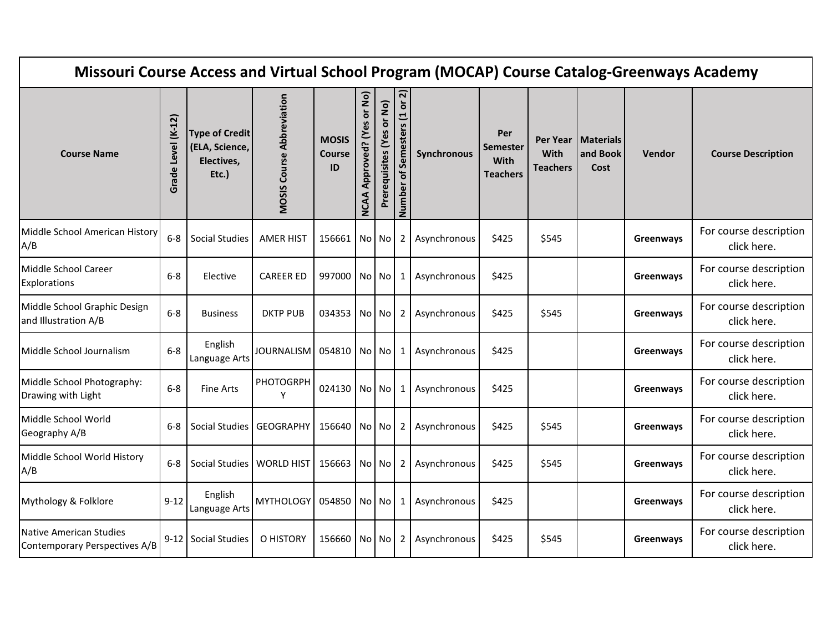| Missouri Course Access and Virtual School Program (MOCAP) Course Catalog-Greenways Academy |                       |                                                                |                                  |                                     |                                             |                           |                                   |              |                                            |                                |                                          |               |                                       |
|--------------------------------------------------------------------------------------------|-----------------------|----------------------------------------------------------------|----------------------------------|-------------------------------------|---------------------------------------------|---------------------------|-----------------------------------|--------------|--------------------------------------------|--------------------------------|------------------------------------------|---------------|---------------------------------------|
| <b>Course Name</b>                                                                         | Level (K-12)<br>Grade | <b>Type of Credit</b><br>(ELA, Science,<br>Electives,<br>Etc.) | <b>MOSIS Course Abbreviation</b> | <b>MOSIS</b><br><b>Course</b><br>ID | or No)<br>မိ<br>Approved? (Y<br><b>NCAA</b> | Prerequisites (Yes or No) | ត<br>of Semesters (1 or<br>Number | Synchronous  | Per<br>Semester<br>With<br><b>Teachers</b> | <b>With</b><br><b>Teachers</b> | Per Year   Materials<br>and Book<br>Cost | <b>Vendor</b> | <b>Course Description</b>             |
| Middle School American History<br>A/B                                                      | $6-8$                 | <b>Social Studies</b>                                          | <b>AMER HIST</b>                 | 156661 No No                        |                                             |                           | 2                                 | Asynchronous | \$425                                      | \$545                          |                                          | Greenways     | For course description<br>click here. |
| Middle School Career<br><b>Explorations</b>                                                | $6 - 8$               | Elective                                                       | <b>CAREER ED</b>                 | 997000 No No                        |                                             |                           | 1                                 | Asynchronous | \$425                                      |                                |                                          | Greenways     | For course description<br>click here. |
| Middle School Graphic Design<br>and Illustration A/B                                       | $6-8$                 | <b>Business</b>                                                | <b>DKTP PUB</b>                  | 034353 No No                        |                                             |                           | 2                                 | Asynchronous | \$425                                      | \$545                          |                                          | Greenways     | For course description<br>click here. |
| Middle School Journalism                                                                   | $6-8$                 | English<br>Language Arts                                       | <b>JOURNALISM</b>                | 054810 No No                        |                                             |                           | 1                                 | Asynchronous | \$425                                      |                                |                                          | Greenways     | For course description<br>click here. |
| Middle School Photography:<br>Drawing with Light                                           | $6-8$                 | <b>Fine Arts</b>                                               | <b>PHOTOGRPH</b><br>Υ            | 024130 No No                        |                                             |                           | 1                                 | Asynchronous | \$425                                      |                                |                                          | Greenways     | For course description<br>click here. |
| Middle School World<br>Geography A/B                                                       | $6 - 8$               | Social Studies   GEOGRAPHY                                     |                                  | 156640 No No                        |                                             |                           | 2                                 | Asynchronous | \$425                                      | \$545                          |                                          | Greenways     | For course description<br>click here. |
| Middle School World History<br>A/B                                                         | $6-8$                 | Social Studies   WORLD HIST                                    |                                  | 156663 No No                        |                                             |                           | 2                                 | Asynchronous | \$425                                      | \$545                          |                                          | Greenways     | For course description<br>click here. |
| Mythology & Folklore                                                                       | $9 - 12$              | English<br>Language Arts                                       | <b>MYTHOLOGY</b>                 | 054850 No No                        |                                             |                           | 1                                 | Asynchronous | \$425                                      |                                |                                          | Greenways     | For course description<br>click here. |
| Native American Studies<br>Contemporary Perspectives A/B                                   |                       | 9-12 Social Studies                                            | O HISTORY                        | 156660 No No                        |                                             |                           | 2                                 | Asynchronous | \$425                                      | \$545                          |                                          | Greenways     | For course description<br>click here. |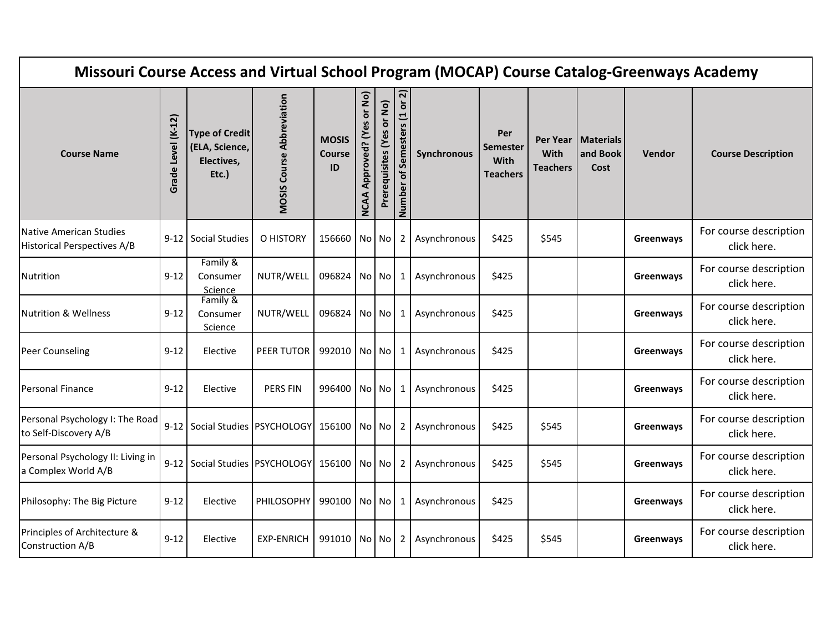| Missouri Course Access and Virtual School Program (MOCAP) Course Catalog-Greenways Academy |                       |                                                                |                                  |                                     |                                             |                           |                                   |              |                                                   |                         |                                          |               |                                       |
|--------------------------------------------------------------------------------------------|-----------------------|----------------------------------------------------------------|----------------------------------|-------------------------------------|---------------------------------------------|---------------------------|-----------------------------------|--------------|---------------------------------------------------|-------------------------|------------------------------------------|---------------|---------------------------------------|
| <b>Course Name</b>                                                                         | Level (K-12)<br>Grade | <b>Type of Credit</b><br>(ELA, Science,<br>Electives,<br>Etc.) | <b>MOSIS Course Abbreviation</b> | <b>MOSIS</b><br><b>Course</b><br>ID | or No)<br>δĝ<br>Approved? (Y<br><b>NCAA</b> | Prerequisites (Yes or No) | ត<br>of Semesters (1 or<br>Number | Synchronous  | Per<br><b>Semester</b><br>With<br><b>Teachers</b> | With<br><b>Teachers</b> | Per Year   Materials<br>and Book<br>Cost | <b>Vendor</b> | <b>Course Description</b>             |
| Native American Studies<br><b>Historical Perspectives A/B</b>                              |                       | 9-12 Social Studies                                            | O HISTORY                        | 156660 No No                        |                                             |                           | $\overline{2}$                    | Asynchronous | \$425                                             | \$545                   |                                          | Greenways     | For course description<br>click here. |
| Nutrition                                                                                  | $9 - 12$              | Family &<br>Consumer<br>Science                                | NUTR/WELL                        | 096824 No No                        |                                             |                           | 1                                 | Asynchronous | \$425                                             |                         |                                          | Greenways     | For course description<br>click here. |
| <b>Nutrition &amp; Wellness</b>                                                            | 9-12                  | Family &<br>Consumer<br>Science                                | NUTR/WELL                        | 096824 No No                        |                                             |                           | 1                                 | Asynchronous | \$425                                             |                         |                                          | Greenways     | For course description<br>click here. |
| Peer Counseling                                                                            | $9 - 12$              | Elective                                                       | PEER TUTOR                       | 992010 No No                        |                                             |                           | 1                                 | Asynchronous | \$425                                             |                         |                                          | Greenways     | For course description<br>click here. |
| <b>Personal Finance</b>                                                                    | $9 - 12$              | Elective                                                       | <b>PERS FIN</b>                  | 996400 No No                        |                                             |                           | 1                                 | Asynchronous | \$425                                             |                         |                                          | Greenways     | For course description<br>click here. |
| Personal Psychology I: The Road<br>to Self-Discovery A/B                                   |                       | 9-12 Social Studies PSYCHOLOGY 156100 No No                    |                                  |                                     |                                             |                           | $\mathbf{2}$                      | Asynchronous | \$425                                             | \$545                   |                                          | Greenways     | For course description<br>click here. |
| Personal Psychology II: Living in<br>a Complex World A/B                                   |                       | 9-12   Social Studies   PSYCHOLOGY   156100   No   No          |                                  |                                     |                                             |                           | $\mathbf{2}$                      | Asynchronous | \$425                                             | \$545                   |                                          | Greenways     | For course description<br>click here. |
| Philosophy: The Big Picture                                                                | $9 - 12$              | Elective                                                       | <b>PHILOSOPHY</b>                | 990100 No No                        |                                             |                           | 1                                 | Asynchronous | \$425                                             |                         |                                          | Greenways     | For course description<br>click here. |
| Principles of Architecture &<br>Construction A/B                                           | $9 - 12$              | Elective                                                       | <b>EXP-ENRICH</b>                | 991010 No No                        |                                             |                           | 2                                 | Asynchronous | \$425                                             | \$545                   |                                          | Greenways     | For course description<br>click here. |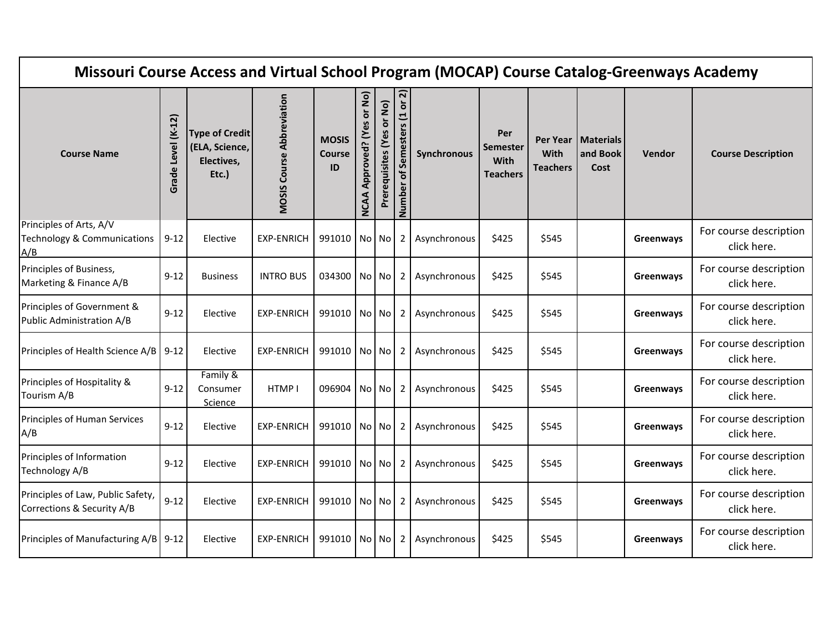| Missouri Course Access and Virtual School Program (MOCAP) Course Catalog-Greenways Academy |                       |                                                                |                                  |                                     |                                             |                           |                                                         |              |                                            |                         |                                          |               |                                       |
|--------------------------------------------------------------------------------------------|-----------------------|----------------------------------------------------------------|----------------------------------|-------------------------------------|---------------------------------------------|---------------------------|---------------------------------------------------------|--------------|--------------------------------------------|-------------------------|------------------------------------------|---------------|---------------------------------------|
| <b>Course Name</b>                                                                         | Level (K-12)<br>Grade | <b>Type of Credit</b><br>(ELA, Science,<br>Electives,<br>Etc.) | <b>MOSIS Course Abbreviation</b> | <b>MOSIS</b><br><b>Course</b><br>ID | or No)<br>δŞ<br>Approved? (Y<br><b>NCAA</b> | Prerequisites (Yes or No) | $\overline{\mathbf{N}}$<br>of Semesters (1 or<br>Number | Synchronous  | Per<br>Semester<br>With<br><b>Teachers</b> | With<br><b>Teachers</b> | Per Year   Materials<br>and Book<br>Cost | <b>Vendor</b> | <b>Course Description</b>             |
| Principles of Arts, A/V<br>Technology & Communications<br>A/B                              | $9 - 12$              | Elective                                                       | <b>EXP-ENRICH</b>                | 991010 No No                        |                                             |                           | 2 <sup>1</sup>                                          | Asynchronous | \$425                                      | \$545                   |                                          | Greenways     | For course description<br>click here. |
| Principles of Business,<br>Marketing & Finance A/B                                         | $9 - 12$              | <b>Business</b>                                                | <b>INTRO BUS</b>                 | 034300 No No                        |                                             |                           | $2^{\circ}$                                             | Asynchronous | \$425                                      | \$545                   |                                          | Greenways     | For course description<br>click here. |
| Principles of Government &<br>Public Administration A/B                                    | $9 - 12$              | Elective                                                       | <b>EXP-ENRICH</b>                | 991010 No No                        |                                             |                           | 2 <sub>1</sub>                                          | Asynchronous | \$425                                      | \$545                   |                                          | Greenways     | For course description<br>click here. |
| Principles of Health Science A/B                                                           | $9 - 12$              | Elective                                                       | <b>EXP-ENRICH</b>                | 991010 No No                        |                                             |                           | 2 <sub>1</sub>                                          | Asynchronous | \$425                                      | \$545                   |                                          | Greenways     | For course description<br>click here. |
| Principles of Hospitality &<br>Tourism A/B                                                 | $9 - 12$              | Family &<br>Consumer<br>Science                                | HTMP I                           | 096904                              |                                             | No No                     | 2                                                       | Asynchronous | \$425                                      | \$545                   |                                          | Greenways     | For course description<br>click here. |
| Principles of Human Services<br>A/B                                                        | $9 - 12$              | Elective                                                       | <b>EXP-ENRICH</b>                | 991010 No No                        |                                             |                           | 2 <sup>1</sup>                                          | Asynchronous | \$425                                      | \$545                   |                                          | Greenways     | For course description<br>click here. |
| Principles of Information<br>Technology A/B                                                | $9 - 12$              | Elective                                                       | <b>EXP-ENRICH</b>                | 991010 No No                        |                                             |                           | $2^{\circ}$                                             | Asynchronous | \$425                                      | \$545                   |                                          | Greenways     | For course description<br>click here. |
| Principles of Law, Public Safety,<br>Corrections & Security A/B                            | $9 - 12$              | Elective                                                       | <b>EXP-ENRICH</b>                | 991010 No No                        |                                             |                           | 2 <sub>1</sub>                                          | Asynchronous | \$425                                      | \$545                   |                                          | Greenways     | For course description<br>click here. |
| Principles of Manufacturing A/B                                                            | $9 - 12$              | Elective                                                       | <b>EXP-ENRICH</b>                | 991010 No No                        |                                             |                           | 2                                                       | Asynchronous | \$425                                      | \$545                   |                                          | Greenways     | For course description<br>click here. |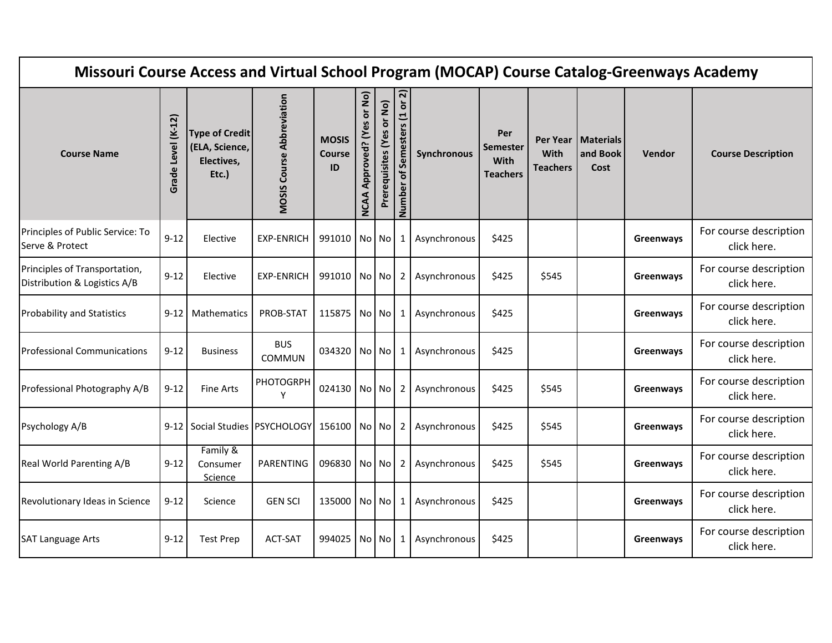| Missouri Course Access and Virtual School Program (MOCAP) Course Catalog-Greenways Academy |                       |                                                                |                                  |                                     |                                         |                           |                                   |              |                                                   |                         |                                          |           |                                       |
|--------------------------------------------------------------------------------------------|-----------------------|----------------------------------------------------------------|----------------------------------|-------------------------------------|-----------------------------------------|---------------------------|-----------------------------------|--------------|---------------------------------------------------|-------------------------|------------------------------------------|-----------|---------------------------------------|
| <b>Course Name</b>                                                                         | Level (K-12)<br>Grade | <b>Type of Credit</b><br>(ELA, Science,<br>Electives,<br>Etc.) | <b>MOSIS Course Abbreviation</b> | <b>MOSIS</b><br><b>Course</b><br>ID | or No)<br>Approved? (Yes<br><b>NCAA</b> | Prerequisites (Yes or No) | ត<br>of Semesters (1 or<br>Number | Synchronous  | Per<br><b>Semester</b><br>With<br><b>Teachers</b> | With<br><b>Teachers</b> | Per Year   Materials<br>and Book<br>Cost | Vendor    | <b>Course Description</b>             |
| Principles of Public Service: To<br>Serve & Protect                                        | $9 - 12$              | Elective                                                       | <b>EXP-ENRICH</b>                | 991010 No No                        |                                         |                           | 1                                 | Asynchronous | \$425                                             |                         |                                          | Greenways | For course description<br>click here. |
| Principles of Transportation,<br>Distribution & Logistics A/B                              | $9 - 12$              | Elective                                                       | <b>EXP-ENRICH</b>                | 991010 No No                        |                                         |                           | 2                                 | Asynchronous | \$425                                             | \$545                   |                                          | Greenways | For course description<br>click here. |
| <b>Probability and Statistics</b>                                                          | 9-12                  | <b>Mathematics</b>                                             | PROB-STAT                        | 115875                              |                                         | No No                     | $\mathbf{1}$                      | Asynchronous | \$425                                             |                         |                                          | Greenways | For course description<br>click here. |
| <b>Professional Communications</b>                                                         | $9 - 12$              | <b>Business</b>                                                | <b>BUS</b><br>COMMUN             | 034320 No No                        |                                         |                           | 1                                 | Asynchronous | \$425                                             |                         |                                          | Greenways | For course description<br>click here. |
| Professional Photography A/B                                                               | $9 - 12$              | <b>Fine Arts</b>                                               | PHOTOGRPH<br>Y                   | 024130 No No                        |                                         |                           | 2                                 | Asynchronous | \$425                                             | \$545                   |                                          | Greenways | For course description<br>click here. |
| Psychology A/B                                                                             |                       | 9-12 Social Studies PSYCHOLOGY 156100 No No                    |                                  |                                     |                                         |                           | $2^{\circ}$                       | Asynchronous | \$425                                             | \$545                   |                                          | Greenways | For course description<br>click here. |
| Real World Parenting A/B                                                                   | $9 - 12$              | Family &<br>Consumer<br>Science                                | PARENTING                        | 096830 No No                        |                                         |                           | 2                                 | Asynchronous | \$425                                             | \$545                   |                                          | Greenways | For course description<br>click here. |
| Revolutionary Ideas in Science                                                             | $9 - 12$              | Science                                                        | <b>GEN SCI</b>                   | 135000 No No                        |                                         |                           | $\mathbf{1}$                      | Asynchronous | \$425                                             |                         |                                          | Greenways | For course description<br>click here. |
| <b>SAT Language Arts</b>                                                                   | $9 - 12$              | <b>Test Prep</b>                                               | <b>ACT-SAT</b>                   | 994025                              |                                         | No No                     | 1                                 | Asynchronous | \$425                                             |                         |                                          | Greenways | For course description<br>click here. |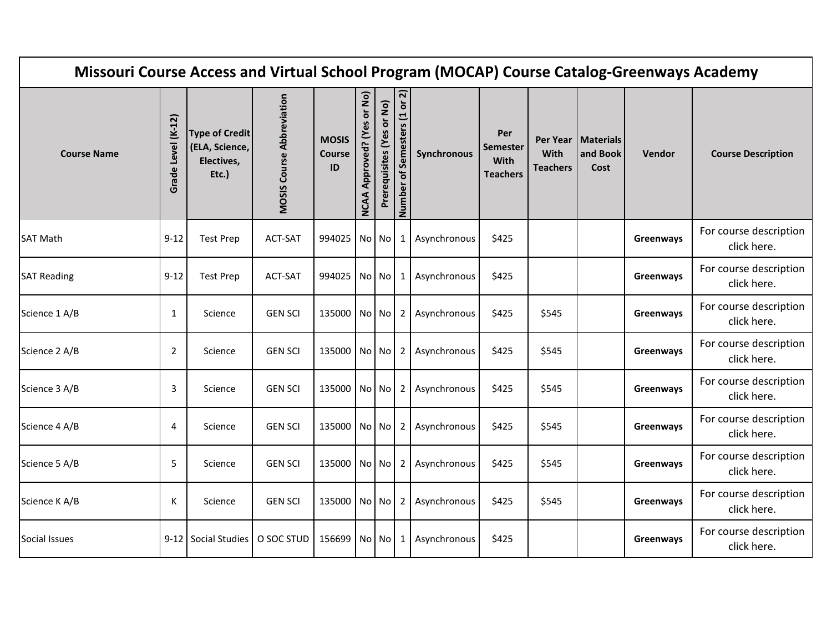| Missouri Course Access and Virtual School Program (MOCAP) Course Catalog-Greenways Academy |                       |                                                                |                                  |                                     |                                         |                           |                                                      |              |                                                   |                         |                                          |           |                                       |
|--------------------------------------------------------------------------------------------|-----------------------|----------------------------------------------------------------|----------------------------------|-------------------------------------|-----------------------------------------|---------------------------|------------------------------------------------------|--------------|---------------------------------------------------|-------------------------|------------------------------------------|-----------|---------------------------------------|
| <b>Course Name</b>                                                                         | Level (K-12)<br>Grade | <b>Type of Credit</b><br>(ELA, Science,<br>Electives,<br>Etc.) | <b>MOSIS Course Abbreviation</b> | <b>MOSIS</b><br><b>Course</b><br>ID | or No)<br>Approved? (Yes<br><b>NCAA</b> | Prerequisites (Yes or No) | $\overline{\mathsf{N}}$<br>Number of Semesters (1 or | Synchronous  | Per<br><b>Semester</b><br>With<br><b>Teachers</b> | With<br><b>Teachers</b> | Per Year   Materials<br>and Book<br>Cost | Vendor    | <b>Course Description</b>             |
| <b>SAT Math</b>                                                                            | $9 - 12$              | <b>Test Prep</b>                                               | ACT-SAT                          | 994025   No   No                    |                                         |                           | 1                                                    | Asynchronous | \$425                                             |                         |                                          | Greenways | For course description<br>click here. |
| <b>SAT Reading</b>                                                                         | $9 - 12$              | <b>Test Prep</b>                                               | ACT-SAT                          | 994025 No No                        |                                         |                           | 1                                                    | Asynchronous | \$425                                             |                         |                                          | Greenways | For course description<br>click here. |
| Science 1 A/B                                                                              | 1                     | Science                                                        | <b>GEN SCI</b>                   | 135000 No No                        |                                         |                           | $2 \mid$                                             | Asynchronous | \$425                                             | \$545                   |                                          | Greenways | For course description<br>click here. |
| Science 2 A/B                                                                              | $\overline{2}$        | Science                                                        | <b>GEN SCI</b>                   | 135000 No No                        |                                         |                           | $\mathbf{2}$                                         | Asynchronous | \$425                                             | \$545                   |                                          | Greenways | For course description<br>click here. |
| Science 3 A/B                                                                              | 3                     | Science                                                        | <b>GEN SCI</b>                   | 135000 No No                        |                                         |                           | 2                                                    | Asynchronous | \$425                                             | \$545                   |                                          | Greenways | For course description<br>click here. |
| Science 4 A/B                                                                              | 4                     | Science                                                        | <b>GEN SCI</b>                   | 135000 No No                        |                                         |                           | 2 <sub>1</sub>                                       | Asynchronous | \$425                                             | \$545                   |                                          | Greenways | For course description<br>click here. |
| Science 5 A/B                                                                              | 5                     | Science                                                        | <b>GEN SCI</b>                   | 135000 No No                        |                                         |                           | $\overline{2}$                                       | Asynchronous | \$425                                             | \$545                   |                                          | Greenways | For course description<br>click here. |
| Science K A/B                                                                              | К                     | Science                                                        | <b>GEN SCI</b>                   | 135000 No No                        |                                         |                           | $2 \mid$                                             | Asynchronous | \$425                                             | \$545                   |                                          | Greenways | For course description<br>click here. |
| Social Issues                                                                              |                       | 9-12 Social Studies                                            | O SOC STUD                       | 156699 No No                        |                                         |                           | 1                                                    | Asynchronous | \$425                                             |                         |                                          | Greenways | For course description<br>click here. |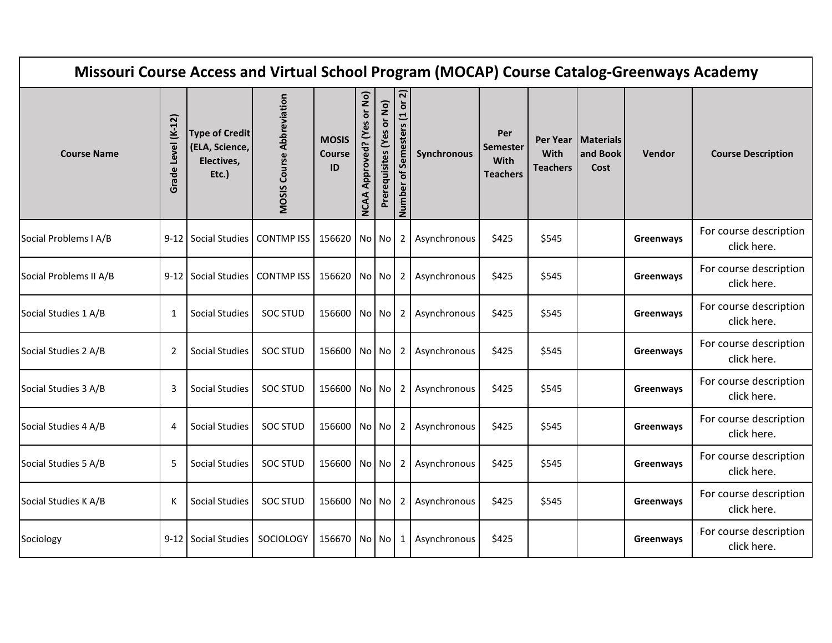| Missouri Course Access and Virtual School Program (MOCAP) Course Catalog-Greenways Academy |                       |                                                                |                                  |                                     |                                         |                           |                                 |              |                                                   |                                     |                                      |           |                                       |
|--------------------------------------------------------------------------------------------|-----------------------|----------------------------------------------------------------|----------------------------------|-------------------------------------|-----------------------------------------|---------------------------|---------------------------------|--------------|---------------------------------------------------|-------------------------------------|--------------------------------------|-----------|---------------------------------------|
| <b>Course Name</b>                                                                         | Level (K-12)<br>Grade | <b>Type of Credit</b><br>(ELA, Science,<br>Electives,<br>Etc.) | <b>MOSIS Course Abbreviation</b> | <b>MOSIS</b><br><b>Course</b><br>ID | or No)<br>Approved? (Yes<br><b>NCAA</b> | Prerequisites (Yes or No) | of Semesters (1 or 2)<br>Number | Synchronous  | Per<br><b>Semester</b><br>With<br><b>Teachers</b> | Per Year<br>With<br><b>Teachers</b> | <b>Materials</b><br>and Book<br>Cost | Vendor    | <b>Course Description</b>             |
| Social Problems I A/B                                                                      |                       | 9-12 Social Studies                                            | <b>CONTMP ISS</b>                | 156620 No No                        |                                         |                           | $\overline{2}$                  | Asynchronous | \$425                                             | \$545                               |                                      | Greenways | For course description<br>click here. |
| Social Problems II A/B                                                                     |                       | 9-12 Social Studies                                            | CONTMP ISS                       | 156620                              | No No                                   |                           | 2                               | Asynchronous | \$425                                             | \$545                               |                                      | Greenways | For course description<br>click here. |
| Social Studies 1 A/B                                                                       | 1                     | <b>Social Studies</b>                                          | <b>SOC STUD</b>                  | 156600 No No                        |                                         |                           | $\overline{2}$                  | Asynchronous | \$425                                             | \$545                               |                                      | Greenways | For course description<br>click here. |
| Social Studies 2 A/B                                                                       | 2                     | <b>Social Studies</b>                                          | <b>SOC STUD</b>                  | 156600 No No                        |                                         |                           | $\overline{2}$                  | Asynchronous | \$425                                             | \$545                               |                                      | Greenways | For course description<br>click here. |
| Social Studies 3 A/B                                                                       | 3                     | <b>Social Studies</b>                                          | <b>SOC STUD</b>                  | 156600 No No                        |                                         |                           | 2                               | Asynchronous | \$425                                             | \$545                               |                                      | Greenways | For course description<br>click here. |
| Social Studies 4 A/B                                                                       | 4                     | Social Studies                                                 | <b>SOC STUD</b>                  | 156600 No No                        |                                         |                           | $\mathbf{2}$                    | Asynchronous | \$425                                             | \$545                               |                                      | Greenways | For course description<br>click here. |
| Social Studies 5 A/B                                                                       | 5                     | <b>Social Studies</b>                                          | <b>SOC STUD</b>                  | 156600 No No                        |                                         |                           | $\overline{2}$                  | Asynchronous | \$425                                             | \$545                               |                                      | Greenways | For course description<br>click here. |
| Social Studies K A/B                                                                       | К                     | <b>Social Studies</b>                                          | <b>SOC STUD</b>                  | 156600 No No                        |                                         |                           | $\overline{2}$                  | Asynchronous | \$425                                             | \$545                               |                                      | Greenways | For course description<br>click here. |
| Sociology                                                                                  |                       | 9-12 Social Studies                                            | SOCIOLOGY                        | 156670 No No                        |                                         |                           | 1                               | Asynchronous | \$425                                             |                                     |                                      | Greenways | For course description<br>click here. |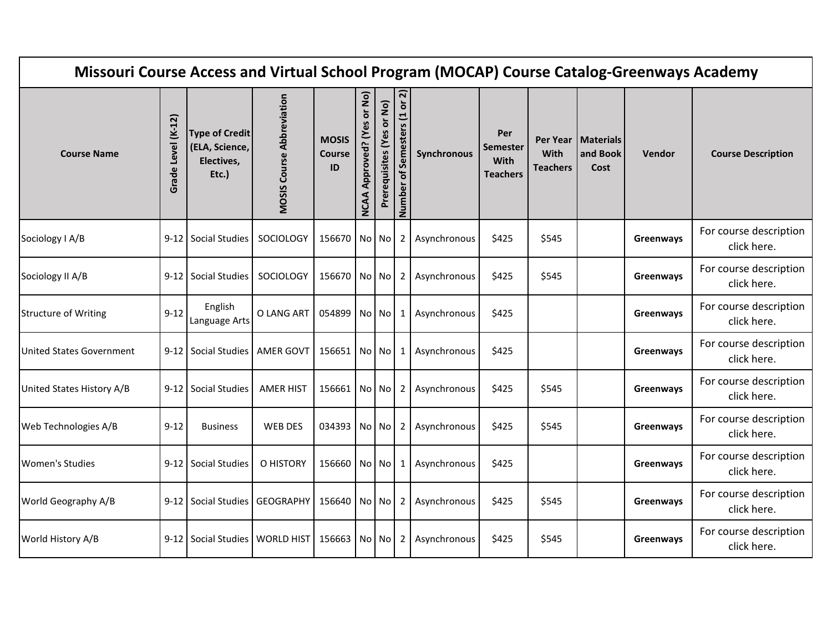| Missouri Course Access and Virtual School Program (MOCAP) Course Catalog-Greenways Academy |                       |                                                                |                                  |                                     |                                         |                           |                              |              |                                                   |                                     |                                      |           |                                       |
|--------------------------------------------------------------------------------------------|-----------------------|----------------------------------------------------------------|----------------------------------|-------------------------------------|-----------------------------------------|---------------------------|------------------------------|--------------|---------------------------------------------------|-------------------------------------|--------------------------------------|-----------|---------------------------------------|
| <b>Course Name</b>                                                                         | Level (K-12)<br>Grade | <b>Type of Credit</b><br>(ELA, Science,<br>Electives,<br>Etc.) | <b>MOSIS Course Abbreviation</b> | <b>MOSIS</b><br><b>Course</b><br>ID | or No)<br>Approved? (Yes<br><b>NCAA</b> | Prerequisites (Yes or No) | Number of Semesters (1 or 2) | Synchronous  | Per<br><b>Semester</b><br>With<br><b>Teachers</b> | Per Year<br>With<br><b>Teachers</b> | <b>Materials</b><br>and Book<br>Cost | Vendor    | <b>Course Description</b>             |
| Sociology I A/B                                                                            |                       | 9-12 Social Studies                                            | SOCIOLOGY                        | 156670 No No                        |                                         |                           | $\overline{2}$               | Asynchronous | \$425                                             | \$545                               |                                      | Greenways | For course description<br>click here. |
| Sociology II A/B                                                                           |                       | 9-12 Social Studies                                            | SOCIOLOGY                        | 156670                              | No No                                   |                           | 2                            | Asynchronous | \$425                                             | \$545                               |                                      | Greenways | For course description<br>click here. |
| <b>Structure of Writing</b>                                                                | $9 - 12$              | English<br>Language Arts                                       | O LANG ART                       | 054899                              |                                         | No No                     | 1                            | Asynchronous | \$425                                             |                                     |                                      | Greenways | For course description<br>click here. |
| <b>United States Government</b>                                                            |                       | 9-12 Social Studies                                            | AMER GOVT                        | 156651 No No                        |                                         |                           | 1                            | Asynchronous | \$425                                             |                                     |                                      | Greenways | For course description<br>click here. |
| United States History A/B                                                                  |                       | 9-12 Social Studies                                            | <b>AMER HIST</b>                 | 156661                              |                                         | No No                     | 2                            | Asynchronous | \$425                                             | \$545                               |                                      | Greenways | For course description<br>click here. |
| Web Technologies A/B                                                                       | $9 - 12$              | <b>Business</b>                                                | <b>WEB DES</b>                   | 034393 No No                        |                                         |                           | $2^{\circ}$                  | Asynchronous | \$425                                             | \$545                               |                                      | Greenways | For course description<br>click here. |
| <b>Women's Studies</b>                                                                     |                       | 9-12 Social Studies                                            | O HISTORY                        | 156660 No No                        |                                         |                           | 1                            | Asynchronous | \$425                                             |                                     |                                      | Greenways | For course description<br>click here. |
| World Geography A/B                                                                        |                       | 9-12 Social Studies                                            | <b>GEOGRAPHY</b>                 | 156640                              | No No                                   |                           | $\overline{2}$               | Asynchronous | \$425                                             | \$545                               |                                      | Greenways | For course description<br>click here. |
| World History A/B                                                                          |                       | 9-12   Social Studies   WORLD HIST   156663   No   No          |                                  |                                     |                                         |                           | 2                            | Asynchronous | \$425                                             | \$545                               |                                      | Greenways | For course description<br>click here. |